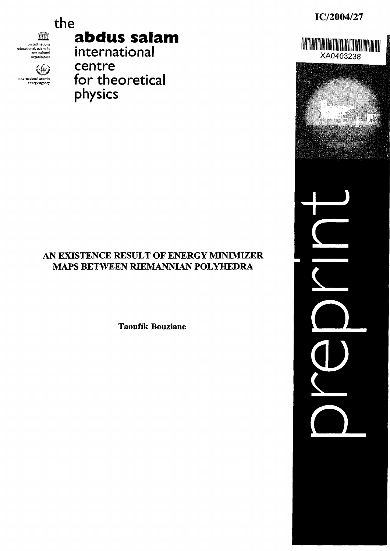IC/2004/27

XA0403238



international aromic energy agency

∖∰

the

# abdus salam

international centre for theoretical physics

# AN EXISTENCE RESULT OF ENERGY MINIMIZER MAPS BETWEEN RIEMANNIAN POLYHEDRA

**Taoufik Bouziane**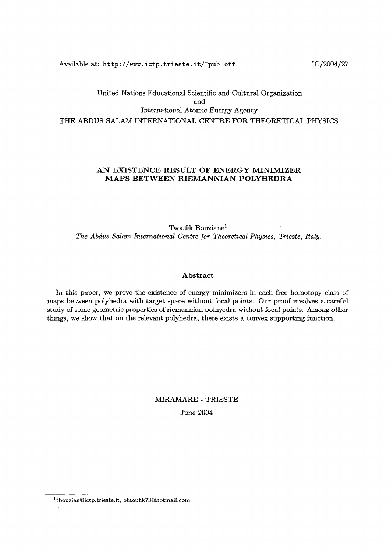Available at: http://www.ictp.trieste.it/~pub\_off **index IC/2004/27** 

# United Nations Educational Scientific and Cultural Organization and International Atomic Energy Agency THE ABDUS SALAM INTERNATIONAL CENTRE FOR THEORETICAL PHYSICS

# **AN EXISTENCE RESULT OF ENERGY MINIMIZER MAPS BETWEEN RIEMANNIAN POLYHEDRA**

Taoufik Bouzianel *The Abdus Salam International Centre for Theoretical Physics, Trieste, Italy.* 

## **Abstract**

In this paper, we prove the existence of energy minimizers in each free homotopy class of maps between polyhedra with target space without focal points. Our proof involves a careful study of some geometric properties **of** riemannian polhyedra without focal points. Among other things, we show that on the relevant polyhedra, there exists a convex supporting function.

# MIRAMARE - TRIESTE June 2004

 $1$ tbouzian@ictp.trieste.it, btaoufik73@hotmail.com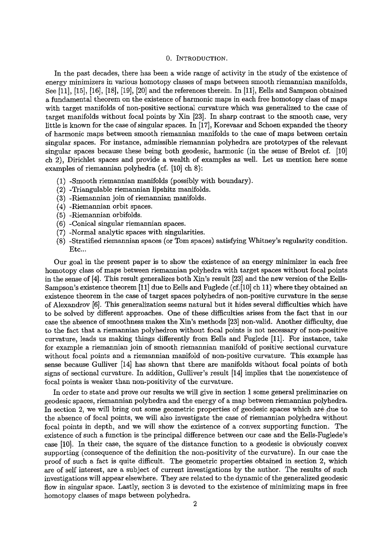#### 0. INTRODUCTION.

In the past decades, there has been a wide range of activity in the study of the existence of energy minimizers in various homotopy classes of maps between smooth riemannian manifolds, See [11], [15], 16], [18], 19], 20] and the references therein. In [111, Eells and Sampson obtained a fundamental theorem on the existence of harmonic maps in each free homotopy class of maps with target manifolds of non-positive sectional curvature which was generalized to the case of target manifolds without focal points by Xin 123]. In sharp contrast to the smooth case, very little is known for the case of singular spaces. In 17], Korevaar and Schoen expanded the theory of harmonic maps between smooth riemannian manifolds to the case of maps between certain singular spaces. For instance, admissible riemannian polyhedra are prototypes of the relevant singular spaces because these being both geodesic, harmonic (in the sense of Brelot cf. [10] ch 2). Dirichlet spaces and provide a wealth of examples as well. Let us mention here some examples of riemannian polyhedra (cf. [10] ch 8):

- (1) -Smooth riemannian manifolds (possibly with boundary).
- (2) -Triangulable riemannian lipshitz manifolds.
- (3) -Riemannian join of riemannian manifolds.
- (4) -Riemannian orbit spaces.
- (5) -Riemannian orbifolds.
- (6) -Conical singular riemannian spaces.
- (7) -Normal analytic spaces with singularities.
- (8) -Stratified riemannian spaces (or Tom spaces) satisfying Whitney's regularity condition. Etc...

Our goal in the present paper is to show the existence of an energy minimizer in each free homotopy class of maps between riemannian polyhedra with target spaces without focal points in the sense of [4]. This result generalizes both Xin's result [23] and the new version of the Eells-Sampson's existence theorem  $[11]$  due to Eells and Fuglede (cf. [10] ch 11) where they obtained an existence theorem in the case of target spaces polyhedra of non-positive curvature in the sense of Alexandrov [6]. This generalization seems natural but it hides several difficulties which have to be solved by different approaches. One of these difficulties axises from the fact that in our case the absence of smoothness makes the Xin's methods 231 non-valid. Another difficulty, due to the fact that a riemannian polyhedron without focal points is not necessary of non-positive curvature, leads us making things differently from Eells and Fuglede [1]. For instance, take for example a riemannian join of smooth riemannian manifold of positive sectional curvature without focal points and a riemannian manifold of non-positive curvature. This example has sense because Gulliver 14] has shown that there are manifolds without focal points of both signs of sectional curvature. In addition, Gulliver's result 14] implies that the nonexistence of focal points is weaker than non-positivity of the curvature.

In order to state and prove our results we will give in section 1 some general preliminaries on geodesic spaces, riemannian polyhedra and the energy of a map between riemannian polyhedra. In section 2, we will bring out some geometric properties of geodesic spaces which are due to the absence of focal points, we will also investigate the case of riemannian polyhedra without focal points in depth, and we will show the existence of a convex supporting function. The existence of such a function is the principal difference between our case and the Eells-Figlede's case [10). In their case, the square of the distance function to a geodesic is obviously convex supporting (consequence of the definition the non-positivity of the curvature). In our case the proof of such a fact is quite difficult. The geometric properties obtained in section 2, which are of self interest, are a subject of current investigations by the author. The results of such investigations will appear elsewhere. They are related to the dynamic of the generalized geodesic flow in singular space. Lastly, section 3 is devoted to the existence of minimizing maps in free homotopy classes of maps between polyhedra.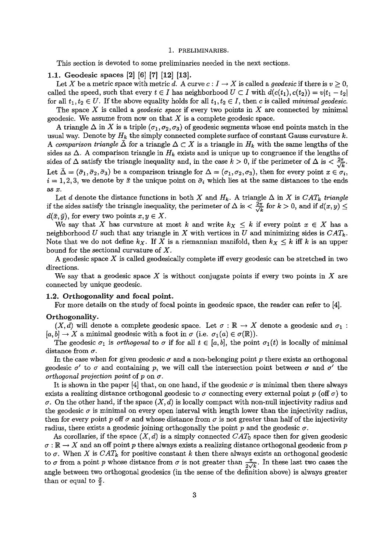#### 1. PRELIMINARIES.

This section is devoted to some preliminaries needed in the next sections.

#### 1.1. Geodesic spaces [2] [6] [7] [12] [13].

Let X be a metric space with metric d. A curve  $c: I \to X$  is called a *geodesic* if there is  $v \geq 0$ , called the speed, such that every  $t \in I$  has neighborhood  $U \subset I$  with  $d(c(t_1), c(t_2)) = v|t_1 - t_2|$ for all  $t_1, t_2 \in U$ . If the above equality holds for all  $t_1, t_2 \in I$ , then c is called *minimal geodesic*.

The space *X* is called a *geodesic space* if every two points in X are connected by minimal geodesic. We assume from now on that *X* is a complete geodesic space.

A triangle  $\Delta$  in X is a triple  $(\sigma_1, \sigma_2, \sigma_3)$  of geodesic segments whose end points match in the usual way. Denote by  $H_k$  the simply connected complete surface of constant Gauss curvature k. A comparison triangle  $\Delta$  for a triangle  $\Delta \subset X$  is a triangle in  $H_k$  with the same lengths of the sides as  $\Delta$ . A comparison triangle in  $H_k$  exists and is unique up to congruence if the lengths of sides of  $\Delta$  satisfy the triangle inequality and, in the case  $k > 0$ , if the perimeter of  $\Delta$  is  $\langle \frac{2\pi}{\sqrt{k}} \rangle$ . Let  $\bar{\Delta} = (\bar{\sigma}_1, \bar{\sigma}_2, \bar{\sigma}_3)$  be a comparison triangle for  $\Delta = (\sigma_1, \sigma_2, \sigma_3)$ , then for every point  $x \in \sigma_i$ ,  $i = 1, 2, 3$ , we denote by  $\bar{x}$  the unique point on  $\bar{\sigma}_i$  which lies at the same distances to the ends *as x.*

Let d denote the distance functions in both X and  $H_k$ . A triangle  $\Delta$  in X is  $CAT_k$  triangle if the sides satisfy the triangle inequality, the perimeter of  $\Delta$  is  $<\frac{2\pi}{\sqrt{k}}$  for  $k>0,$  and if  $d(x,y)$  $d(\bar{x}, \bar{y})$ , for every two points  $x, y \in X$ .

We say that X has curvature at most k and write  $k_X \leq k$  if every point  $x \in X$  has a neighborhood U such that any triangle in X with vertices in U and minimizing sides is *CATk.* Note that we do not define  $k_X$ . If X is a riemannian manifold, then  $k_X \leq k$  iff k is an upper bound for the sectional curvature of *X.*

A geodesic space *X* is called geodesically complete iff every geodesic can be stretched in two directions.

We say that a geodesic space X is without conjugate points if every two points in X are connected by unique geodesic.

#### **1.2. Orthogonality and focal point.**

For more details on the study of focal points in geodesic space, the reader can refer to [4].

## **Orthogonality.**

 $(X, d)$  will denote a complete geodesic space. Let  $\sigma : \mathbb{R} \to X$  denote a geodesic and  $\sigma_1$ :  $[a, b] \to X$  a minimal geodesic with a foot in  $\sigma$  (i.e.  $\sigma_1(a) \in \sigma(\mathbb{R})$ ).

The geodesic  $\sigma_1$  is *orthogonal* to  $\sigma$  if for all  $t \in [a, b]$ , the point  $\sigma_1(t)$  is locally of minimal distance from  $\sigma$ .

In the case when for given geodesic  $\sigma$  and a non-belonging point p there exists an orthogonal geodesic  $\sigma'$  to  $\sigma$  and containing p, we will call the intersection point between  $\sigma$  and  $\sigma'$  the orthogonal projection point of p on  $\sigma$ .

It is shown in the paper [4] that, on one hand, if the geodesic  $\sigma$  is minimal then there always exists a realizing distance orthogonal geodesic to  $\sigma$  connecting every external point  $p$  (off  $\sigma$ ) to  $\sigma$ . On the other hand, if the space  $(X, d)$  is locally compact with non-null injectivity radius and the geodesic  $\sigma$  is minimal on every open interval with length lower than the injectivity radius, then for every point p off  $\sigma$  and whose distance from  $\sigma$  is not greater than half of the injectivity radius, there exists a geodesic joining orthogonally the point p and the geodesic  $\sigma$ .

As corollaries, if the space  $(X, d)$  is a simply connected  $CAT_0$  space then for given geodesic  $\sigma : \mathbb{R} \to X$  and an off point p there always exists a realizing distance orthogonal geodesic from p to  $\sigma$ . When X is CAT<sub>k</sub> for positive constant k then there always exists an orthogonal geodesic to  $\sigma$  from a point p whose distance from  $\sigma$  is not greater than  $\frac{\pi}{2\sqrt{k}}$ . In these last two cases the angle between two orthogonal geodesics (in the sense of the definition above) is always greater than or equal to  $\frac{\pi}{2}$ .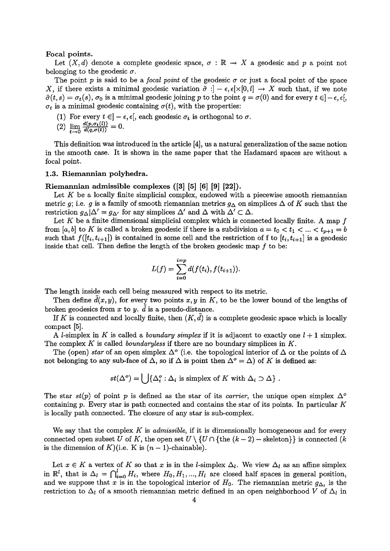#### Focal points.

Let  $(X, d)$  denote a complete geodesic space,  $\sigma : \mathbb{R} \to X$  a geodesic and p a point not belonging to the geodesic  $\sigma$ .

The point p is said to be a *focal point* of the geodesic  $\sigma$  or just a focal point of the space *X*, if there exists a minimal geodesic variation  $\tilde{\sigma}$ :  $- \epsilon$ ,  $\epsilon$ [ $\times$ [0, *l*]  $\rightarrow$  *X* such that, if we note  $\tilde{\sigma}(t,s) = \sigma_t(s)$ ,  $\sigma_0$  is a minimal geodesic joining p to the point  $q = \sigma(0)$  and for every  $t \in ]-\epsilon, \epsilon[$ ,  $\sigma_t$  is a minimal geodesic containing  $\sigma(t)$ , with the properties:

- (1) For every  $t\in ]-\epsilon,\epsilon[,$  each geodesic  $\sigma_t$  is orthogonal to  $\sigma.$
- (2)  $\lim_{t\to 0} \frac{d(p,\sigma_t(l))}{d(q,\sigma(t))}=0.$

This definition was introduced in the article 4], us a natural generalization of the same notion in the smooth case. It is shown in the same paper that the Hadamard spaces are without a focal point.

#### **1.3. Riemannian polyhedra.**

#### Riemannian admissible complexes ([3] [5] [6] [9] [22]).

Let  $K$  be a locally finite simplicial complex, endowed with a piecewise smooth riemannian metric g; i.e. g is a family of smooth riemannian metrics  $g_{\Delta}$  on simplices  $\Delta$  of K such that the restriction  $g_{\Delta}|\Delta' = g_{\Delta'}$  for any simplices  $\Delta'$  and  $\Delta$  with  $\Delta' \subset \Delta$ .

Let  $K$  be a finite dimensional simplicial complex which is connected locally finite. A map  $f$ from [a, b] to K is called a broken geodesic if there is a subdivision  $a = t_0 < t_1 < ... < t_{p+1} = b$ such that  $f([t_i, t_{i+1}])$  is contained in some cell and the restriction of f to  $[t_i, t_{i+1}]$  is a geodesic inside that cell. Then define the length of the broken geodesic map  $f$  to be:

$$
L(f) = \sum_{i=0}^{i=p} d(f(t_i), f(t_{i+1})).
$$

The length inside each cell being measured with respect to its metric.

Then define  $d(x, y)$ , for every two points x, y in K, to be the lower bound of the lengths of broken geodesics from  $x$  to  $y$ .  $\tilde{d}$  is a pseudo-distance.

If K is connected and locally finite, then  $(K, d)$  is a complete geodesic space which is locally compact  $[5]$ .

A *l*-simplex in K is called a *boundary simplex* if it is adjacent to exactly one  $l + 1$  simplex. The complex K is called *boundaryless* if there are no boundary simplices in  $K$ .

The (open) star of an open simplex  $\Delta^o$  (i.e. the topological interior of  $\Delta$  or the points of  $\Delta$ not belonging to any sub-face of  $\Delta$ , so if  $\Delta$  is point then  $\Delta^{\circ} = \Delta$ ) of *K* is defined as:

$$
st(\Delta^o) = \bigcup \{ \Delta_i^o : \Delta_i \text{ is simplex of } K \text{ with } \Delta_i \supset \Delta \} .
$$

The star  $st(p)$  of point p is defined as the star of its *carrier*, the unique open simplex  $\Delta^{\circ}$ containing p. Every star is path connected and contains the star of its points. In particular  $K$ is locally path connected. The closure of any star is sub-complex.

We say that the complex K *is admissible,* if it is dimensionally homogeneous and for every connected open subset U of K, the open set  $U \setminus \{U \cap \{\text{the } (k-2) - \text{skeleton}\}\}\$ is connected (k is the dimension of  $K$ )(i.e. K is  $(n-1)$ -chainable).

Let  $x \in K$  a vertex of K so that x is in the *l*-simplex  $\Delta_l$ . We view  $\Delta_l$  as an affine simplex in  $\mathbb{R}^l$ , that is  $\Delta_l = \bigcap_{i=0}^l H_i$ , where  $H_0, H_1, ..., H_l$  are closed half spaces in general position, and we suppose that x is in the topological interior of  $H_0$ . The riemannian metric  $g_{\Delta_i}$  is the restriction to  $\Delta_l$  of a smooth riemannian metric defined in an open neighborhood V of  $\Delta_l$  in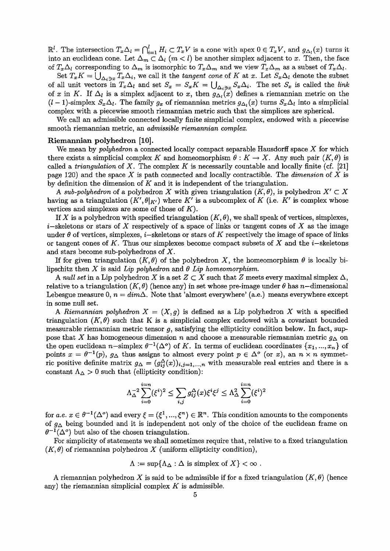$\mathbb{R}^l$ . The intersection  $T_x \Delta_l = \bigcap_{i=1}^l H_i \subset T_x V$  is a cone with apex  $0 \in T_x V$ , and  $g_{\Delta_l}(x)$  turns it into an euclidean cone. Let  $\Delta_m \subset \Delta_l$  ( $m < l$ ) be another simplex adjacent to x. Then, the face of  $T_x\Delta_l$  corresponding to  $\Delta_m$  is isomorphic to  $T_x\Delta_m$  and we view  $T_x\Delta_m$  as a subset of  $T_x\Delta_l$ .

Set  $T_xK = \bigcup_{\Delta_i \ni x} T_x\Delta_i$ , we call it the *tangent cone* of K at x. Let  $S_x\Delta_i$  denote the subset of all unit vectors in  $T_x\Delta_l$  and set  $S_x = S_xK = \bigcup_{\Delta_i \ni x} S_x\Delta_i$ . The set  $S_x$  is called the *link* of x in K. If  $\Delta_l$  is a simplex adjacent to x, then  $g_{\Delta_l}(x)$  defines a riemannian metric on the  $(I-1)$ -simplex  $S_x\Delta_l$ . The family  $g_x$  of riemannian metrics  $g_{\Delta_l}(x)$  turns  $S_x\Delta_l$  into a simplicial complex with a piecewise smooth riemannian metric such that the simplices are spherical.

We call an admissible connected locally finite simplicial complex, endowed with a piecewise smooth riemannian metric, an admissible riemannian complex.

#### Riemannian **polyhedron [10].**

We mean by *polyhedron* a connected locally compact separable Hausdorff space  $X$  for which there exists a simplicial complex K and homeomorphism  $\theta: K \to X$ . Any such pair  $(K, \theta)$  is called a *triangulation* of X. The complex K is necessarily countable and locally finite (cf. [21] page 120) and the space *X* is path connected and locally contractible. The dimension of *X is* by definition the dimension of K and it is independent of the triangulation.

*A sub-polyhedron* of a polyhedron X with given triangulation  $(K, \theta)$ , is polyhedron  $X' \subset X$ having as a triangulation  $(K', \theta|_{K'})$  where K' is a subcomplex of K (i.e. K' is complex whose vertices and simplexes are some of those of *K).*

If X is a polyhedron with specified triangulation  $(K, \theta)$ , we shall speak of vertices, simplexes, i-skeletons or stars of X respectively of a space of links or tangent cones of *X* as the image under  $\theta$  of vertices, simplexes, *i*-skeletons or stars of K respectively the image of space of links or tangent cones of K. Thus our simplexes become compact subsets of X and the  $i$ -skeletons and stars become sub-polyhedrons of *X.*

If for given triangulation  $(K, \theta)$  of the polyhedron X, the homeomorphism  $\theta$  is locally bilipschitz then X is said Lip polyhedron and  $\theta$  Lip homeomorphism.

A null set in a Lip polyhedron X is a set  $Z \subset X$  such that Z meets every maximal simplex  $\Delta$ , relative to a triangulation  $(K, \theta)$  (hence any) in set whose pre-image under  $\theta$  has n-dimensional Lebesgue measure 0,  $n = dim\Delta$ . Note that 'almost everywhere' (a.e.) means everywhere except in some null set.

A Riemannian polyhedron  $X = (X, g)$  is defined as a Lip polyhedron X with a specified triangulation  $(K, \theta)$  such that K is a simplicial complex endowed with a covariant bounded measurable riemannian metric tensor  $g$ , satisfying the ellipticity condition below. In fact, suppose that *X* has homogeneous dimension *n* and choose a measurable riemannian metric  $g_{\Delta}$  on the open euclidean n-simplex  $\theta^{-1}(\Delta^o)$  of K. In terms of euclidean coordinates  $\{x_1, ..., x_n\}$  of points  $x = \theta^{-1}(p)$ ,  $g_{\Delta}$  thus assigns to almost every point  $p \in {\Delta}^o$  (or x), an  $n \times n$  symmetric positive definite matrix  $g_{\Delta} = (g_{ij}^{\Delta}(x))_{i,j=1,...,n}$  with measurable real entries and there is a constant  $\Lambda_{\Delta} > 0$  such that (ellipticity condition):

$$
\Lambda_{\Delta}^{-2}\sum_{i=0}^{i=n}(\xi^i)^2\leq \sum_{i,j}g_{ij}^{\Delta}(x)\xi^i\xi^j\leq \Lambda_{\Delta}^2\sum_{i=0}^{i=n}(\xi^i)^2
$$

for a.e.  $x \in \theta^{-1}(\Delta^o)$  and every  $\xi = (\xi^1, ..., \xi^n) \in \mathbb{R}^n$ . This condition amounts to the components of  $g_{\Delta}$  being bounded and it is independent not only of the choice of the euclidean frame on  $\theta^{-1}(\Delta^{\circ})$  but also of the chosen triangulation.

For simplicity of statements we shall sometimes require that, relative to a fixed triangulation  $(K, \theta)$  of riemannian polyhedron X (uniform ellipticity condition),

$$
\Lambda := \sup \{ \Lambda_{\Delta} : \Delta \text{ is simplex of } X \} < \infty.
$$

A riemannian polyhedron X is said to be admissible if for a fixed triangulation  $(K, \theta)$  (hence any) the riemannian simplicial complex *K is* admissible.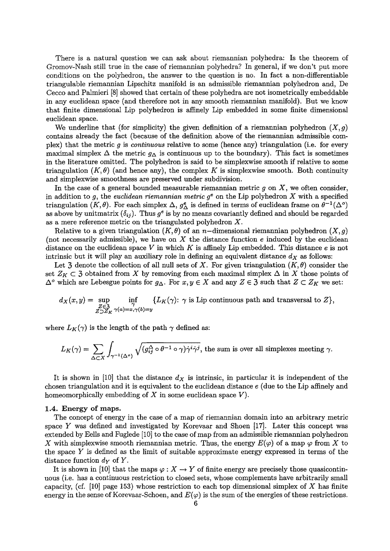There is a natural question we can ask about riemannian polyhedra: Is the theorem of Grornov-Nash still true in the case of riemannian polyhedra? In general, if we don't put more conditions on the polyhedron, the answer to the question is no. In fact a non-differentiable triangulable riemannian Lipschitz manifold is an admissible riemannian polyhedron and, De Cecco and Palmieri (8] showed that certain of these polyhedra are not isometrically embeddable in any euclidean space (and therefore not in any smooth riemannian manifold). But we know that finite dimensional Lip polyhedron is affinely Lip embedded in some finite dimensional euclidean space.

We underline that (for simplicity) the given definition of a riemannian polyhedron  $(X, g)$ contains already the fact (because of the definition above of the riemannian admissible complex) that the metric  $g$  is *continuous* relative to some (hence any) triangulation (i.e. for every maximal simplex  $\Delta$  the metric  $g_{\Delta}$  is continuous up to the boundary). This fact is sometimes in the literature omitted. The polyhedron is said to be simplexwise smooth if relative to some triangulation  $(K, \theta)$  (and hence any), the complex K is simplexwise smooth. Both continuity and simplexwise smoothness are preserved under subdivision.

In the case of a general bounded measurable riemannian metric  $g$  on  $X$ , we often consider, in addition to g, the euclidean riemannian metric  $g^e$  on the Lip polyhedron X with a specified triangulation  $(K, \theta)$ . For each simplex  $\Delta$ ,  $g_{\Delta}^e$  is defined in terms of euclidean frame on  $\theta^{-1}(\Delta^o)$ as above by unitmatrix  $(\delta_{ij})$ . Thus  $g^e$  is by no means covariantly defined and should be regarded as a mere reference metric on the triangulated polyhedron X.

Relative to a given triangulation  $(K, \theta)$  of an *n*-dimensional riemannian polyhedron  $(X, g)$ (not necessarily admissible), we have on  $X$  the distance function  $e$  induced by the euclidean distance on the euclidean space V in which K is affinely Lip embedded. This distance  $e$  is not intrinsic but it will play an auxiliary role in defining an equivalent distance  $d<sub>X</sub>$  as follows:

Let 3 denote the collection of all null sets of X. For given triangulation  $(K, \theta)$  consider the set  $Z_K \subset \mathfrak{Z}$  obtained from X by removing from each maximal simplex  $\Delta$  in X those points of  $\Delta^o$  which are Lebesgue points for  $g_\Delta$ . For  $x, y \in X$  and any  $Z \in \mathfrak{Z}$  such that  $Z \subset Z_K$  we set:

$$
d_X(x,y) = \sup_{\substack{Z \in \mathfrak{Z} \\ Z \supset Z_K}} \inf_{\substack{\gamma \\ \gamma(a) = x, \gamma(b) = y}} \{L_K(\gamma): \gamma \text{ is Lip continuous path and transversal to } Z\},\
$$

where  $L_K(\gamma)$  is the length of the path  $\gamma$  defined as:

$$
L_K(\gamma) = \sum_{\Delta \subset X} \int_{\gamma^{-1}(\Delta^c)} \sqrt{(g_{ij}^{\Delta} \circ \theta^{-1} \circ \gamma) \dot{\gamma}^i \dot{\gamma}^j},
$$
 the sum is over all simplexes meeting  $\gamma$ .

It is shown in [10] that the distance  $d_X$  is intrinsic, in particular it is independent of the chosen triangulation and it is equivalent to the euclidean distance e (due to the Lip affinely and homeomorphically embedding of  $X$  in some euclidean space  $V$ ).

#### 1.4. Energy of maps.

The concept of energy in the case of a map of riemannian domain into an arbitrary metric space Y was defined and investigated by Korevaar and Shoen  $[17]$ . Later this concept was extended by Eells and Fuglede [10] to the case of map from an admissible riemannian polyhedron X with simplexwise smooth riemannian metric. Thus, the energy  $E(\varphi)$  of a map  $\varphi$  from X to the space Y is defined as the limit of suitable approximate energy expressed in terms of the distance function  $d_Y$  of Y.

It is shown in [10] that the maps  $\varphi: X \to Y$  of finite energy are precisely those quasicontinuous (i.e. has a continuous restriction to closed sets, whose complements have arbitrarily small capacity, (cf.  $[10]$  page 153) whose restriction to each top dimensional simplex of X has finite energy in the sense of Korevaar-Schoen, and  $E(\varphi)$  is the sum of the energies of these restrictions.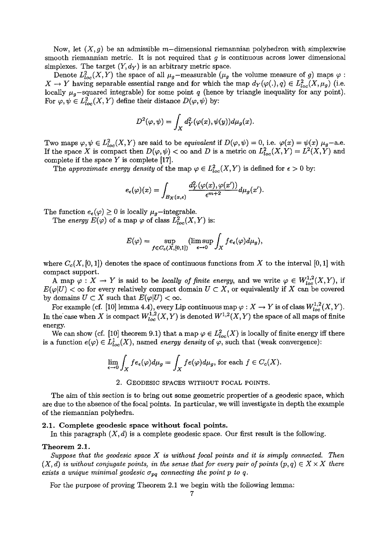Now, let  $(X, g)$  be an admissible m-dimensional riemannian polyhedron with simplexwise smooth riemannian metric. It is not required that  $g$  is continuous across lower dimensional simplexes. The target  $(Y, d_Y)$  is an arbitrary metric space.

Denote  $L^2_{loc}(X, Y)$  the space of all  $\mu_g$ -measurable  $(\mu_g$  the volume measure of g) maps  $X \to Y$  having separable essential range and for which the map  $d_Y(\varphi(.), q) \in L^2_{loc}(X, \mu_g)$  (i.e. locally  $\mu_g$ -squared integrable) for some point q (hence by triangle inequality for any point). For  $\varphi, \psi \in L^2_{loc}(X, Y)$  define their distance  $D(\varphi, \psi)$  by:

$$
D^{2}(\varphi, \psi) = \int_{X} d_{Y}^{2}(\varphi(x), \psi(y)) d\mu_{g}(x).
$$

Two maps  $\varphi, \psi \in L^2_{loc}(X, Y)$  are said to be equivalent if  $D(\varphi, \psi) = 0$ , i.e.  $\varphi(x) = \psi(x) \mu_g$ -a.e. If the space X is compact then  $D(\varphi, \psi) < \infty$  and D is a metric on  $L^2_{loc}(X, Y) = L^2(X, Y)$  and complete if the space Y is complete **17].**

The *approximate energy density* of the map  $\varphi \in L^2_{loc}(X, Y)$  is defined for  $\epsilon > 0$  by:

$$
e_{\epsilon}(\varphi)(x) = \int_{B_X(x,\epsilon)} \frac{d_Y^2(\varphi(x),\varphi(x'))}{\epsilon^{m+2}} d\mu_g(x').
$$

The function  $e_{\epsilon}(\varphi) \ge 0$  is locally  $\mu_g$ -integrable.

The energy  $E(\varphi)$  of a map  $\varphi$  of class  $L^2_{loc}(X,Y)$  is:

$$
E(\varphi) = \sup_{f \in C_c(X, [0,1])} (\limsup_{\epsilon \to 0} \int_X f e_{\epsilon}(\varphi) d\mu_g),
$$

where  $C_c(X, [0, 1])$  denotes the space of continuous functions from X to the interval [0, 1] with compact support.

A map  $\varphi: X \to Y$  is said to be *locally of finite energy*, and we write  $\varphi \in W^{1,2}_{loc}(X,Y)$ , if  $E(\varphi|U) < \infty$  for every relatively compact domain  $U \subset X$ , or equivalently if X can be covered by domains  $U \subset X$  such that  $E(\varphi|U) < \infty$ .<br>*For example (cf. [10] lemma 4.4), every Lip continuous map*  $\varphi : X \to Y$  is of class  $W_{loc}^{1,2}(X, Y)$ .

In the case when X is compact  $W_{loc}^{1,2}(X,Y)$  is denoted  $W^{1,2}(X,Y)$  the space of all maps of finite energy.

We can show (cf. [10] theorem 9.1) that a map  $\varphi \in L^2_{loc}(X)$  is locally of finite energy iff there is a function  $e(\varphi) \in L^1_{loc}(X)$ , named *energy density* of  $\varphi$ , such that (weak convergence):

$$
\lim_{\epsilon \to 0} \int_X f e_\epsilon(\varphi) d\mu_g = \int_X f e(\varphi) d\mu_g
$$
, for each  $f \in C_c(X)$ .

2. GEODESIC SPACES WITHOUT FOCAL POINTS.

The aim of this section is to bring out some geometric properties of a geodesic space, which are due to the absence of the focal points. In particular, we will investigate in depth the example of the riemannian polyhedra.

#### **2.1. Complete geodesic space without focal points.**

In this paragraph *(X, d)* is a complete geodesic space. Our first result is the following.

## Theorem 2.1.

*Suppose that the geodesic space X is without focal points* and it *is* simply connected. Then  $(X, d)$  is without conjugate points, in the sense that for every pair of points  $(p, q) \in X \times X$  there *exists a unique minimal geodesic*  $\sigma_{pq}$  *connecting the point p to q.* 

For the purpose of proving Theorem 21 we begin with the following lemma: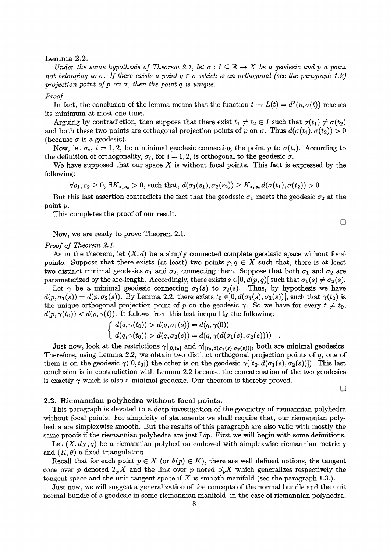#### $Lemma 2.2.$

Under the same hypothesis of Theorem 2.1, let  $\sigma: I \subseteq \mathbb{R} \to X$  be a geodesic and p a point not belonging to  $\sigma$ . If there exists a point  $q \in \sigma$  which is an orthogonal (see the paragraph 1.2) projection point of  $p$  on  $\sigma$ , then the point  $q$  is unique.

#### Proof.

In fact, the conclusion of the lemma means that the function  $t \mapsto L(t) = d^2(p, \sigma(t))$  reaches its minimum at most one time.

Arguing by contradiction, then suppose that there exist  $t_1 \neq t_2 \in I$  such that  $\sigma(t_1) \neq \sigma(t_2)$ and both these two points are orthogonal projection points of p on  $\sigma$ . Thus  $d(\sigma(t_1), \sigma(t_2)) > 0$ (because  $\sigma$  is a geodesic).

Now, let  $\sigma_i$ ,  $i = 1, 2$ , be a minimal geodesic connecting the point p to  $\sigma(t_i)$ . According to the definition of orthogonality,  $\sigma_i$ , for  $i = 1, 2$ , is orthogonal to the geodesic  $\sigma$ .

We have supposed that our space *X* is without focal points. This fact is expressed by the following:

 $\forall s_1, s_2 \geq 0, \exists K_{s_1s_2} > 0$ , such that,  $d(\sigma_1(s_1), \sigma_2(s_2)) \geq K_{s_1s_2}d(\sigma(t_1), \sigma(t_2)) > 0$ .

But this last assertion contradicts the fact that the geodesic  $\sigma_1$  meets the geodesic  $\sigma_2$  at the point p.

This completes the proof of our result.

Now, we are ready to prove Theorem 21.

#### *Proof of Theorem 21.*

As in the theorem, let  $(X, d)$  be a simply connected complete geodesic space without focal points. Suppose that there exists (at least) two points  $p, q \in X$  such that, there is at least two distinct minimal geodesics  $\sigma_1$  and  $\sigma_2$ , connecting them. Suppose that both  $\sigma_1$  and  $\sigma_2$  are parameterized by the arc-length. Accordingly, there exists  $s \in ]0, d(p, q)[$  such that  $\sigma_1(s) \neq \sigma_2(s)$ .

Let  $\gamma$  be a minimal geodesic connecting  $\sigma_1(s)$  to  $\sigma_2(s)$ . Thus, by hypothesis we have  $d(p, \sigma_1(s)) = d(p, \sigma_2(s))$ . By Lemma 2.2, there exists  $t_0 \in ]0, d(\sigma_1(s), \sigma_2(s))[$ , such that  $\gamma(t_0)$  is the unique orthogonal projection point of p on the geodesic  $\gamma$ . So we have for every  $t \neq t_0$ ,  $d(p, \gamma(t_0)) < d(p, \gamma(t))$ . It follows from this last inequality the following:

$$
\begin{cases} d(q, \gamma(t_0)) > d(q, \sigma_1(s)) = d(q, \gamma(0)) \\ d(q, \gamma(t_0)) > d(q, \sigma_2(s)) = d(q, \gamma(d(\sigma_1(s), \sigma_2(s)))) \end{cases}
$$

Just now, look at the restrictions  $\gamma|_{[0,t_0]}$  and  $\gamma|_{[t_0,d(\sigma_1(s),\sigma_2(s))]}$ , both are minimal geodesics. Therefore, using Lemma 2.2, we obtain two distinct orthogonal projection points of  $q$ , one of them is on the geodesic  $\gamma([0, t_0])$  the other is on the geodesic  $\gamma([t_0, d(\sigma_1(s), \sigma_2(s))])$ . This last conclusion is in contradiction with Lemma 22 because the concatenation of the two geodesics is exactly  $\gamma$  which is also a minimal geodesic. Our theorem is thereby proved.

 $\Box$ 

#### 2.2. Riemannian polyhedra without focal points.

This paragraph is devoted to a deep investigation of the geometry of riemannian polyhedra without focal points. For simplicity of statements we shall require that, our riemannian polyhedra are simplexwise smooth. But the results of this paragraph are also valid with mostly the same proofs if the riemannian polyhedra are just Lip. First we will begin with some definitions.

Let  $(X, d_X, g)$  be a riemannian polyhedron endowed with simplexwise riemannian metric g and  $(K, \theta)$  a fixed triangulation.

Recall that for each point  $p \in X$  (or  $\theta(p) \in K$ ), there are well defined notions, the tangent cone over p denoted  $T_pX$  and the link over p noted  $S_pX$  which generalizes respectively the tangent space and the unit tangent space if *X* is smooth manifold (see the paragraph 13.).

Just now, we will suggest a generalization of the concepts of the normal bundle and the unit normal bundle of a geodesic in some riemannian manifold, in the case of riemannian polyhedra.

 $\Box$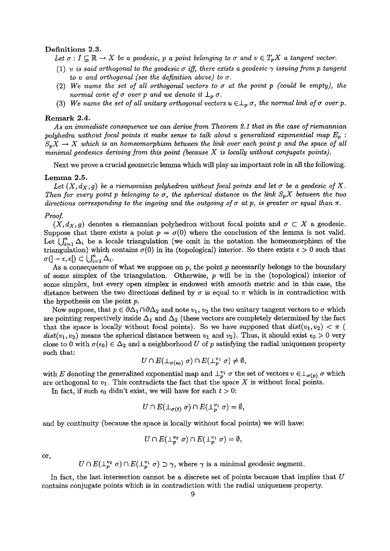#### Definitions 2.3.

Let  $\sigma: I \subseteq \mathbb{R} \to X$  be a geodesic, p a point belonging to  $\sigma$  and  $v \in T_pX$  a tangent vector.

- (1) *v* is said orthogonal to the geodesic  $\sigma$  iff, there exists a geodesic  $\gamma$  issuing from  $p$  tangent *to v and orthogonal (see the definition above) to*  $\sigma$ *.*
- (2) We name the set of all orthogonal vectors to  $\sigma$  at the point p (could be empty), the normal cone of  $\sigma$  over p and we denote it  $\perp_p \sigma$ .
- (3) We name the set of all unitary orthogonal vectors  $u \in L_p \sigma$ , the normal link of  $\sigma$  over p.

#### Remark 2.4.

*As* an immediate consequence we can derive from Theorem 21 that in *the case of* riemannian *polyhedra without focal points* it make *sense to* talk about a generalized exponential map *Ep :*  $S_pX \to X$  which is an homeomorphism between the link over each point p and the space of all minimal *geodesics* deriving from *this* point (because *X is* locally without conjugate points).

Next we prove a crucial geometric lemma which will play an important role in all the following.

#### Lemma 2.5.

Let  $(X, d_X, g)$  be a riemannian polyhedron without focal points and let  $\sigma$  be a geodesic of X. *Then for every point p belonging to*  $\sigma$ *, the spherical distance in the link*  $S_p X$  between the two directions corresponding to the ingoing and the outgoing of  $\sigma$  at  $p$ , is greater or equal than  $\pi$ .

#### *Proof.*

 $(X, d_X, g)$  denotes a riemannian polyhedron without focal points and  $\sigma \subset X$  a geodesic. Suppose that there exists a point  $p = \sigma(0)$  where the conclusion of the lemma is not valid. Let  $\bigcup_{i=1}^n \Delta_i$  be a locale triangulation (we omit in the notation the homeomorphism of the triangulation) which contains  $\sigma(0)$  in its (topological) interior. So there exists  $\epsilon > 0$  such that  $\sigma(]-\epsilon,\epsilon[) \subset \bigcup_{i=1}^n \Delta_i.$ 

As a consequence of what we suppose on  $p$ , the point  $p$  necessarily belongs to the boundary of some simplex of the triangulation. Otherwise,  $p$  will be in the (topological) interior of some simplex, but every open simplex is endowed with smooth metric and in this case, the distance between the two directions defined by  $\sigma$  is equal to  $\pi$  which is in contradiction with the hypothesis on the point p.

Now suppose, that  $p \in \partial \Delta_1 \cap \partial \Delta_2$  and note  $v_1, v_2$  the two unitary tangent vectors to  $\sigma$  which are pointing respectively inside  $\Delta_1$  and  $\Delta_2$  (these vectors are completely determined by the fact that the space is locally without focal points). So we have supposed that  $dist(v_1, v_2) < \pi$  (  $dist(v_1, v_2)$  means the spherical distance between  $v_1$  and  $v_2$ ). Thus, it should exist  $\epsilon_0 > 0$  very close to 0 with  $\sigma(\epsilon_0) \in \Delta_2$  and a neighborhood U of p satisfying the radial uniqueness property such that:

$$
U\cap E(\perp_{\sigma(\epsilon_0)}\sigma)\cap E(\perp_p^{v_1}\sigma)\neq\emptyset,
$$

with E denoting the generalized exponential map and  $\perp_p^{v_1} \sigma$  the set of vectors  $v \in \perp_{\sigma(p)} \sigma$  which are orthogonal to  $v_1$ . This contradicts the fact that the space X is without focal points.

In fact, if such  $\epsilon_0$  didn't exist, we will have for each  $t > 0$ :

$$
U \cap E(\perp_{\sigma(t)} \sigma) \cap E(\perp_p^{v_1} \sigma) = \emptyset,
$$

and by continuity (because the space is locally without focal points) we will have:

$$
U \cap E(\perp_p^{v_2} \sigma) \cap E(\perp_p^{v_1} \sigma) = \emptyset,
$$

or,

 $U \cap E(\perp_p^{v_2} \sigma) \cap E(\perp_p^{v_1} \sigma) \supset \gamma$ , where  $\gamma$  is a minimal geodesic segment.

In fact, the last intersection cannot be a discrete set of points because that implies that  $U$ contains conjugate points which is in contradiction with the radial uniqueness property.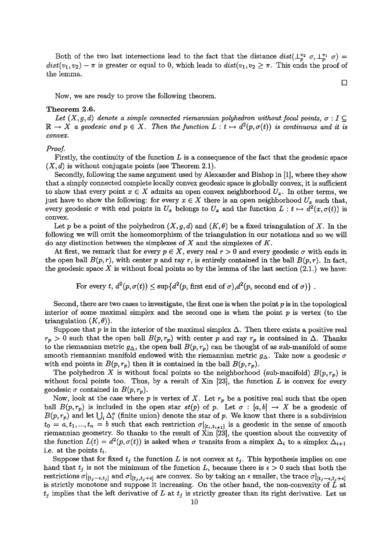Both of the two last intersections lead to the fact that the distance  $dist(\perp_p^{v_2} \sigma, \perp_p^{v_1} \sigma)$  $dist(v_1, v_2) - \pi$  is greater or equal to 0, which leads to  $dist(v_1, v_2 \geq \pi)$ . This ends the proof of the lemma.

Now, we are ready to prove the following theorem.

#### Theorem 2.6.

Let  $(X, g, d)$  denote a simple connected riemannian polyhedron without focal points,  $\sigma : I \subseteq$  $\mathbb{R} \to X$  a geodesic and  $p \in X$ . Then the function  $L : t \mapsto d^2(p, \sigma(t))$  is continuous and it is *convex.*

#### Proof.

Firstly, the continuity of the function  $L$  is a consequence of the fact that the geodesic space  $(X, d)$  is without conjugate points (see Theorem 2.1).

Secondly, following the same argument used by Alexander and Bishop in [1], where they show that a simply connected complete locally convex geodesic space is globally convex, it is sufficient to show that every point  $x \in X$  admits an open convex neighborhood  $U_x$ . In other terms, we just have to show the following: for every  $x \in X$  there is an open neighborhood  $U_x$  such that, every geodesic  $\sigma$  with end points in  $U_x$  belongs to  $U_x$  and the function  $L : t \mapsto d^2(x, \sigma(t))$  is convex.

Let p be a point of the polyhedron  $(X, g, d)$  and  $(K, \theta)$  be a fixed triangulation of X. In the following we will omit the homeomorphism of the triangulation in our notations and so we will do any distinction between the simplexes of *X* and the simplexes of *K.*

At first, we remark that for every  $p \in X$ , every real  $r > 0$  and every geodesic  $\sigma$  with ends in the open ball  $B(p,r)$ , with center p and ray r, is entirely contained in the ball  $B(p,r)$ . In fact, the geodesic space  $X$  is without focal points so by the lemma of the last section  $(2.1.)$  we have:

For every *t*,  $d^2(p, \sigma(t)) \leq \sup\{d^2(p, \text{first end of } \sigma), d^2(p, \text{second end of } \sigma)\}\.$ 

Second, there are two cases to investigate, the first one is when the point  $p$  is in the topological interior of some maximal simplex and the second one is when the point  $p$  is vertex (to the triangulation  $(K, \theta)$ ).

Suppose that  $p$  is in the interior of the maximal simplex  $\Delta$ . Then there exists a positive real  $r_p > 0$  such that the open ball  $B(p, r_p)$  with center p and ray  $r_p$  is contained in  $\Delta$ . Thanks to the riemannian metric  $g_{\Delta}$ , the open ball  $B(p, r_p)$  can be thought of as sub-manifold of some smooth riemannian manifold endowed with the riemannian metric  $g_{\Delta}$ . Take now a geodesic  $\sigma$ with end points in  $B(p, r_p)$  then it is contained in the ball  $B(p, r_p)$ .

The polyhedron X is without focal points so the neighborhood (sub-manifold)  $B(p,r_p)$  is without focal points too. Thus, by a result of Xin  $[23]$ , the function L is convex for every geodesic  $\sigma$  contained in  $B(p, r_p)$ .

Now, look at the case where p is vertex of X. Let  $r_p$  be a positive real such that the open ball  $B(p, r_p)$  is included in the open star  $st(p)$  of p. Let  $\sigma : [a, b] \rightarrow X$  be a geodesic of  $B(p,r_p)$  and let  $\bigcup_i \Delta_i^o$  (finite union) denote the star of p. We know that there is a subdivision  $t_0 = a, t_1, ..., t_n = b$  such that each restriction  $\sigma|_{[t_i, t_{i+1}]}$  is a geodesic in the sense of smooth riemannian geometry. So thanks to the result of Xin [23], the question about the convexity of the function  $L(t) = d^2(p, \sigma(t))$  is asked when  $\sigma$  transits from a simplex  $\Delta_i$  to a simplex  $\Delta_{i+1}$ i.e. at the points  $t_i$ .

Suppose that for fixed  $t_j$  the function L is not convex at  $t_j$ . This hypothesis implies on one hand that  $t_j$  is not the minimum of the function L, because there is  $\epsilon > 0$  such that both the restrictions  $\sigma|_{[t_i-\epsilon,t_j]}$  and  $\sigma|_{[t_i,t_j+\epsilon]}$  are convex. So by taking an  $\epsilon$  smaller, the trace  $\sigma|_{[t_i-\epsilon,t_j+\epsilon]}$ is strictly monotone and suppose it increasing. On the other hand, the non-convexity of  $\tilde{L}$  at  $t_j$  implies that the left derivative of L at  $t_j$  is strictly greater than its right derivative. Let us

 $\Box$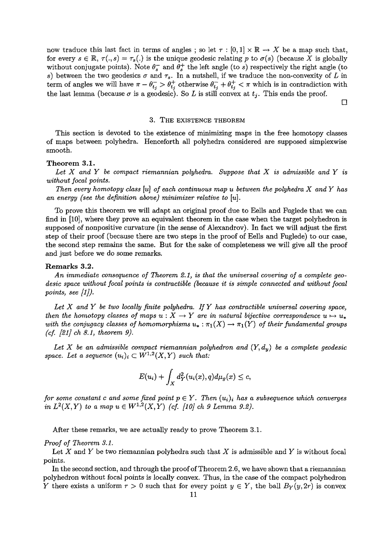now traduce this last fact in terms of angles; so let  $\tau : [0,1] \times \mathbb{R} \to X$  be a map such that, for every  $s \in \mathbb{R}$ ,  $\tau(., s) = \tau_s(.)$  is the unique geodesic relating p to  $\sigma(s)$  (because X is globally without conjugate points). Note  $\theta_s^-$  and  $\theta_s^+$  the left angle (to s) respectively the right angle (to s) between the two geodesics  $\sigma$  and  $\tau_s$ . In a nutshell, if we traduce the non-convexity of L in term of angles we will have  $\pi - \theta_{t_i} > \theta_{t_i}^+$  otherwise  $\theta_{t_i}^- + \theta_{t_i}^+ < \pi$  which is in contradiction with the last lemma (because  $\sigma$  is a geodesic). So L is still convex at  $t_j$ . This ends the proof.

 $\Box$ 

#### 3. THE EXISTENCE THEOREM

This section is devoted to the existence of minimizing maps in the free homotopy classes of maps between polyhedra. Henceforth all polyhedra considered are supposed simplexwise smooth.

#### Theorem 3.1.

*Let X* and *Y be* compact riernannian polyhedra. *Suppose that X is* admissible and *Y is* without *focal points.*

*Then every homotopy class [u] of each* continuous map u *between the polyhedra X and Y has* an energy (see the definition above) minimizer relative to [u].

To prove this theorem we will adapt an original proof due to Eells and Fuglede that we can find in [10], where they prove an equivalent theorem in the case when the target polyhedron is supposed of nonpositive curvature (in the sense of Alexandrov). In fact we will adjust the first step of their proof (because there are two steps in the proof of Eells and Fuglede) to our case, the second step remains the same. But for the sake of completeness we will give all the proof and just before we do some remarks.

#### Remarks 3.2.

An immediate consequence *of Theorem 21. is that* the universal covering *of* a complete *geodesic space without focal points is contractible (because it is simple* connected and *without focal points, see*  $\vert 1 \vert$ *).* 

*Let X and Y be two locally finite polyhedra. If Y has contractible* universal covering *space,* then the homotopy classes of maps  $u : X \to Y$  are in natural bijective correspondence  $u \mapsto u_*$ with the conjugacy classes of homomorphisms  $u_* : \pi_1(X) \to \pi_1(Y)$  of their fundamental groups *(cf. [21] ch 8.1, theorem 9).* 

Let X be an admissible compact riemannian polyhedron and  $(Y, d_y)$  be a complete geodesic *space. Let a sequence*  $(u_i)_i \subset W^{1,2}(X,Y)$  *such that:* 

$$
E(u_i) + \int_X d_Y^2(u_i(x), q) d\mu_g(x) \leq c,
$$

*for some constant c and some fixed point*  $p \in Y$ . Then  $(u_i)_i$  has a subsequence which converges in  $L^2(X, Y)$  to a map  $u \in W^{1,2}(X, Y)$  (cf. [10] ch 9 Lemma 9.2).

After these remarks, we are actually ready to prove Theorem 3.1.

#### *Proof of* Theorem 3.1.

Let X and Y be two riemannian polyhedra such that *X* is admissible and *Y is* without focal points.

In the second section, and through the proof of Theorem 26, we have shown that a riemannian polyhedron without focal points is locally convex. Thus, in the case of the compact polyhedron Y there exists a uniform  $r > 0$  such that for every point  $y \in Y$ , the ball  $B_Y(y, 2r)$  is convex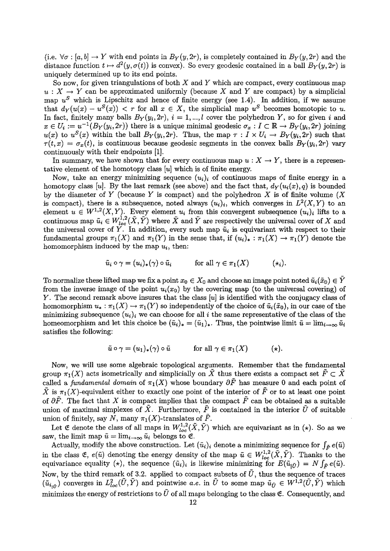(i.e.  $\forall \sigma : [a, b] \rightarrow Y$  with end points in  $B_Y(y, 2r)$ , is completely contained in  $B_Y(y, 2r)$  and the distance function  $t \mapsto d^2(y, \sigma(t))$  is convex). So every geodesic contained in a ball  $B_Y(y, 2r)$  is uniquely determined up to its end points.

So now, for given triangulations of both  $X$  and  $Y$  which are compact, every continuous map  $u: X \to Y$  can be approximated uniformly (because X and Y are compact) by a simplicial map  $u^S$  which is Lipschitz and hence of finite energy (see 1.4). In addition, if we assume that  $d_Y(u(x) - u^S(x)) < r$  for all  $x \in X$ , the simplicial map  $u^S$  becomes homotopic to u. In fact, finitely many balls  $B_Y(y_i, 2r)$ ,  $i = 1, ..., l$  cover the polyhedron Y, so for given i and  $x \in U_i := u^{-1}(B_Y(y_i, 2r))$  there is a unique minimal geodesic  $\sigma_x : I \subset \mathbb{R} \to B_Y(y_i, 2r)$  joining  $u(x)$  to  $u^{S}(x)$  within the ball  $B_Y(y_i, 2r)$ . Thus, the map  $\tau : I \times U_i \to B_Y(y_i, 2r)$  such that  $\tau(t,x) = \sigma_x(t)$ , is continuous because geodesic segments in the convex balls  $B_Y(y_i, 2r)$  vary continuously with their endpoints [1].

In summary, we have shown that for every continuous map  $u : X \to Y$ , there is a representative element of the homotopy class  $[u]$  which is of finite energy.

Now, take an energy minimizing sequence  $(u_i)_i$  of continuous maps of finite energy in a homotopy class [u]. By the last remark (see above) and the fact that,  $d_Y(u_i(x), q)$  is bounded by the diameter of Y (because Y is compact) and the polyhedron X is of finite volume  $(X$ is compact), there is a subsequence, noted always  $(u_i)_i$ , which converges in  $L^2(X,Y)$  to an element  $u \in W^{1,2}(X,Y)$ . Every element  $u_i$  from this convergent subsequence  $(u_i)_i$  lifts to a continuous map  $\tilde{u}_i \in W^{1,2}_{loc}(\tilde{X}, \tilde{Y})$  where  $\tilde{X}$  and  $\tilde{Y}$  are respectively the universal cover of X and the universal cover of Y. In addition, every such map  $\tilde{u}_i$  is equivariant with respect to their fundamental groups  $\pi_1(X)$  and  $\pi_1(Y)$  in the sense that, if  $(u_i)_*: \pi_1(X) \to \pi_1(Y)$  denote the homomorphism induced by the map  $u_i$ , then:

$$
\tilde{u}_i \circ \gamma = (u_i)_*(\gamma) \circ \tilde{u}_i \qquad \text{for all } \gamma \in \pi_1(X) \qquad (*)
$$

To normalize these lifted map we fix a point  $x_0 \in X_0$  and choose an image point noted  $\tilde{u}_i(\tilde{x}_0) \in Y$ from the inverse image of the point  $u_i(x_0)$  by the covering map (to the universal covering) of Y. The second remark above insures that the class  $[u]$  is identified with the conjugacy class of homomorphism  $u_* : \pi_1(X) \to \pi_1(Y)$  so independently of the choice of  $\tilde{u}_i(\tilde{x}_0)$ , in our case of the minimizing subsequence  $(u_i)_i$  we can choose for all i the same representative of the class of the homeomorphism and let this choice be  $(\tilde{u}_i)_* = (\tilde{u}_1)_*$ . Thus, the pointwise limit  $\tilde{u} = \lim_{i \to \infty} \tilde{u}_i$ satisfies the following:

$$
\tilde{u} \circ \gamma = (u_1)_*(\gamma) \circ \tilde{u} \qquad \text{for all } \gamma \in \pi_1(X) \qquad (*)
$$

Now, we will use some algebraic topological arguments. Remember that the fundamental group  $\pi_1(X)$  acts isometrically and simplicially on  $\tilde{X}$  thus there exists a compact set  $\tilde{F} \subset \tilde{X}$ called a fundamental domain of  $\pi_1(X)$  whose boundary  $\partial \tilde{F}$  has measure 0 and each point of  $\tilde{X}$  is  $\pi_1(X)$ -equivalent either to exactly one point of the interior of  $\tilde{F}$  or to at least one point of  $\partial \tilde{F}$ . The fact that X is compact implies that the compact  $\tilde{F}$  can be obtained as a suitable union of maximal simplexes of  $\tilde{X}$ . Furthermore,  $\tilde{F}$  is contained in the interior  $\tilde{U}$  of suitable union of finitely, say N, many  $\pi_1(X)$ -translates of  $\tilde{F}$ .

Let  $\mathfrak E$  denote the class of all maps in  $W^{1,2}_{loc}(\tilde X,\tilde Y)$  which are equivariant as in (\*). So as we saw, the limit map  $\tilde{u} = \lim_{i \to \infty} \tilde{u}_i$  belongs to  $\mathfrak{E}$ .

Actually, modify the above construction. Let  $(\tilde{u}_i)_i$  denote a minimizing sequence for  $\int_{\tilde{F}} e(\tilde{u})$ in the class  $\mathfrak{E}$ ,  $e(\tilde{u})$  denoting the energy density of the map  $\tilde{u} \in W_{loc}^{1,2}(\tilde{X},\tilde{Y})$ . Thanks to the equivariance equality ( $\star$ ), the sequence  $(\tilde{u}_i)_i$  is likewise minimizing for  $E(\tilde{u}_{i\tilde{U}}) = N \int_{\tilde{F}} e(\tilde{u})$ . Now, by the third remark of 3.2. applied to compact subsets of  $\tilde{U}$ , thus the sequence of traces  $(\tilde{u}_{i,\tilde{U}})$  converges in  $L^2_{loc}(\tilde{U},\tilde{Y})$  and pointwise a.e. in  $\tilde{U}$  to some map  $\tilde{u}_{\tilde{U}} \in W^{1,2}(\tilde{U},\tilde{Y})$  which minimizes the energy of restrictions to  $\tilde{U}$  of all maps belonging to the class  $\mathfrak{E}$ . Consequently, and